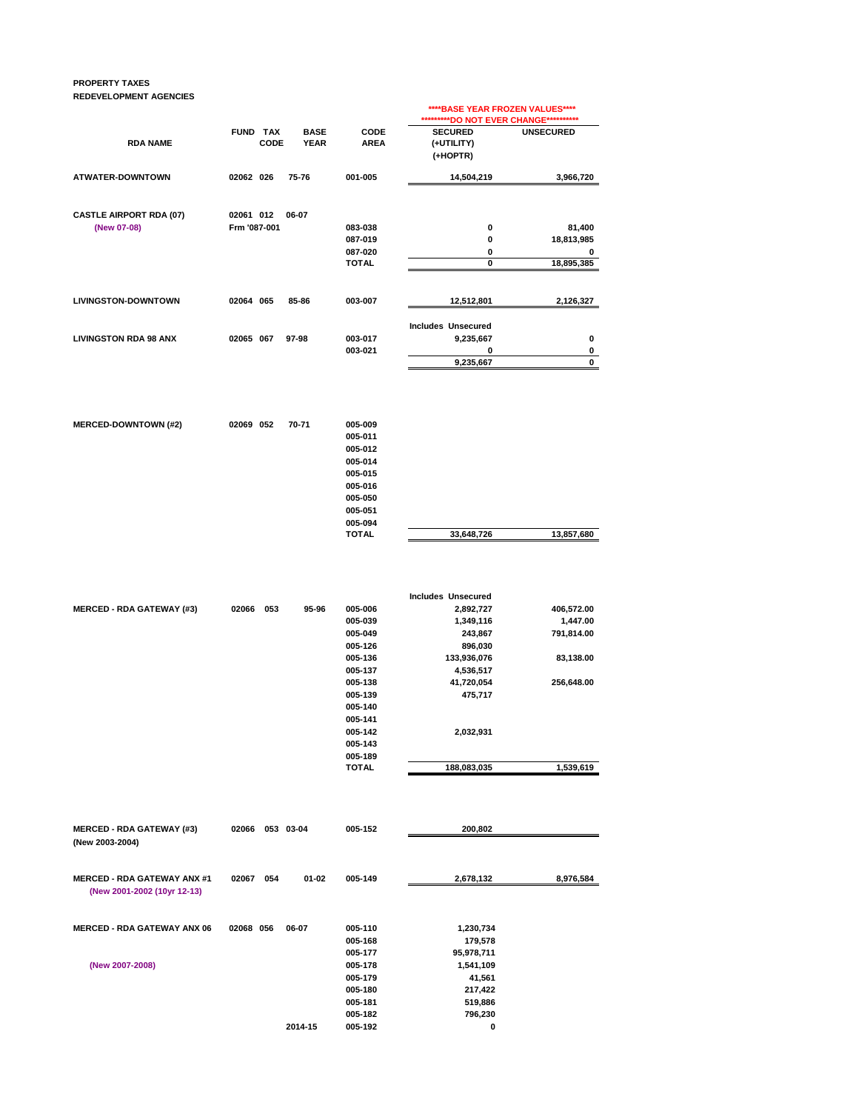## **PROPERTY TAXES REDEVELOPMENT AGENCIES**

|                                |                         |                                                   | ****BASE YEAR FROZEN VALUES****<br>**********DO NOT EVER CHANGE*********** |                  |  |
|--------------------------------|-------------------------|---------------------------------------------------|----------------------------------------------------------------------------|------------------|--|
| <b>RDA NAME</b>                | <b>FUND TAX</b><br>CODE | <b>BASE</b><br>CODE<br><b>YEAR</b><br><b>AREA</b> | <b>SECURED</b><br>(+UTILITY)<br>(+HOPTR)                                   | <b>UNSECURED</b> |  |
| <b>ATWATER-DOWNTOWN</b>        | 75-76<br>02062 026      | 001-005                                           | 14,504,219                                                                 | 3,966,720        |  |
| <b>CASTLE AIRPORT RDA (07)</b> | 02061 012<br>06-07      |                                                   |                                                                            |                  |  |
| (New 07-08)                    | Frm '087-001            | 083-038                                           | 0                                                                          | 81,400           |  |
|                                |                         | 087-019                                           | 0                                                                          | 18,813,985       |  |
|                                |                         | 087-020                                           | 0                                                                          | 0                |  |
|                                |                         | <b>TOTAL</b>                                      | $\mathbf 0$                                                                | 18,895,385       |  |
| <b>LIVINGSTON-DOWNTOWN</b>     | 02064 065<br>85-86      | 003-007                                           | 12,512,801                                                                 | 2,126,327        |  |
|                                |                         |                                                   | <b>Includes Unsecured</b>                                                  |                  |  |
| <b>LIVINGSTON RDA 98 ANX</b>   | 02065 067<br>97-98      | 003-017                                           | 9,235,667                                                                  | 0                |  |
|                                |                         | 003-021                                           | 0                                                                          | 0                |  |
|                                |                         |                                                   | 9,235,667                                                                  | 0                |  |
|                                |                         |                                                   |                                                                            |                  |  |

| <b>MERCED-DOWNTOWN (#2)</b> | 02069 052 | 70-71 | 005-009      |            |            |
|-----------------------------|-----------|-------|--------------|------------|------------|
|                             |           |       | 005-011      |            |            |
|                             |           |       | 005-012      |            |            |
|                             |           |       | 005-014      |            |            |
|                             |           |       | 005-015      |            |            |
|                             |           |       | 005-016      |            |            |
|                             |           |       | 005-050      |            |            |
|                             |           |       | 005-051      |            |            |
|                             |           |       | 005-094      |            |            |
|                             |           |       | <b>TOTAL</b> | 33,648,726 | 13,857,680 |
|                             |           |       |              |            |            |

|                                  |       |     |       |              | <b>Includes Unsecured</b> |            |
|----------------------------------|-------|-----|-------|--------------|---------------------------|------------|
| <b>MERCED - RDA GATEWAY (#3)</b> | 02066 | 053 | 95-96 | 005-006      | 2,892,727                 | 406,572.00 |
|                                  |       |     |       | 005-039      | 1,349,116                 | 1,447.00   |
|                                  |       |     |       | 005-049      | 243,867                   | 791,814.00 |
|                                  |       |     |       | 005-126      | 896,030                   |            |
|                                  |       |     |       | 005-136      | 133,936,076               | 83,138.00  |
|                                  |       |     |       | 005-137      | 4,536,517                 |            |
|                                  |       |     |       | 005-138      | 41,720,054                | 256,648.00 |
|                                  |       |     |       | 005-139      | 475,717                   |            |
|                                  |       |     |       | 005-140      |                           |            |
|                                  |       |     |       | 005-141      |                           |            |
|                                  |       |     |       | 005-142      | 2,032,931                 |            |
|                                  |       |     |       | 005-143      |                           |            |
|                                  |       |     |       | 005-189      |                           |            |
|                                  |       |     |       | <b>TOTAL</b> | 188,083,035               | 1,539,619  |

| <b>MERCED - RDA GATEWAY (#3)</b><br>(New 2003-2004)               | 02066 |     | 053 03-04 | 005-152 | 200,802    |           |
|-------------------------------------------------------------------|-------|-----|-----------|---------|------------|-----------|
| <b>MERCED - RDA GATEWAY ANX #1</b><br>(New 2001-2002 (10yr 12-13) | 02067 | 054 | $01 - 02$ | 005-149 | 2,678,132  | 8,976,584 |
| <b>MERCED - RDA GATEWAY ANX 06</b>                                | 02068 | 056 | 06-07     | 005-110 | 1,230,734  |           |
|                                                                   |       |     |           | 005-168 | 179,578    |           |
|                                                                   |       |     |           | 005-177 | 95,978,711 |           |
| (New 2007-2008)                                                   |       |     |           | 005-178 | 1,541,109  |           |
|                                                                   |       |     |           | 005-179 | 41,561     |           |
|                                                                   |       |     |           | 005-180 | 217,422    |           |
|                                                                   |       |     |           | 005-181 | 519,886    |           |
|                                                                   |       |     |           | 005-182 | 796,230    |           |
|                                                                   |       |     | 2014-15   | 005-192 | 0          |           |
|                                                                   |       |     |           |         |            |           |